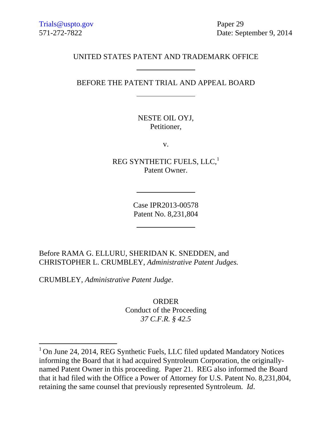571-272-7822 Date: September 9, 2014

## UNITED STATES PATENT AND TRADEMARK OFFICE

# BEFORE THE PATENT TRIAL AND APPEAL BOARD

NESTE OIL OYJ, Petitioner,

v.

REG SYNTHETIC FUELS, LLC,<sup>1</sup> Patent Owner.

> Case IPR2013-00578 Patent No. 8,231,804

Before RAMA G. ELLURU, SHERIDAN K. SNEDDEN, and CHRISTOPHER L. CRUMBLEY, *Administrative Patent Judges.*

CRUMBLEY, *Administrative Patent Judge*.

l

ORDER Conduct of the Proceeding *37 C.F.R. § 42.5*

<sup>&</sup>lt;sup>1</sup> On June 24, 2014, REG Synthetic Fuels, LLC filed updated Mandatory Notices informing the Board that it had acquired Syntroleum Corporation, the originallynamed Patent Owner in this proceeding. Paper 21. REG also informed the Board that it had filed with the Office a Power of Attorney for U.S. Patent No. 8,231,804, retaining the same counsel that previously represented Syntroleum. *Id*.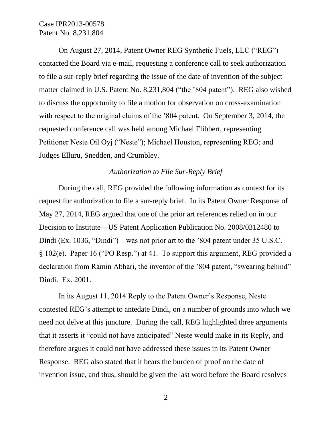On August 27, 2014, Patent Owner REG Synthetic Fuels, LLC ("REG") contacted the Board via e-mail, requesting a conference call to seek authorization to file a sur-reply brief regarding the issue of the date of invention of the subject matter claimed in U.S. Patent No. 8,231,804 ("the '804 patent"). REG also wished to discuss the opportunity to file a motion for observation on cross-examination with respect to the original claims of the '804 patent. On September 3, 2014, the requested conference call was held among Michael Flibbert, representing Petitioner Neste Oil Oyj ("Neste"); Michael Houston, representing REG; and Judges Elluru, Snedden, and Crumbley.

### *Authorization to File Sur-Reply Brief*

During the call, REG provided the following information as context for its request for authorization to file a sur-reply brief. In its Patent Owner Response of May 27, 2014, REG argued that one of the prior art references relied on in our Decision to Institute—US Patent Application Publication No. 2008/0312480 to Dindi (Ex. 1036, "Dindi")—was not prior art to the '804 patent under 35 U.S.C. § 102(e). Paper 16 ("PO Resp.") at 41. To support this argument, REG provided a declaration from Ramin Abhari, the inventor of the '804 patent, "swearing behind" Dindi. Ex. 2001.

In its August 11, 2014 Reply to the Patent Owner's Response, Neste contested REG's attempt to antedate Dindi, on a number of grounds into which we need not delve at this juncture. During the call, REG highlighted three arguments that it asserts it "could not have anticipated" Neste would make in its Reply, and therefore argues it could not have addressed these issues in its Patent Owner Response. REG also stated that it bears the burden of proof on the date of invention issue, and thus, should be given the last word before the Board resolves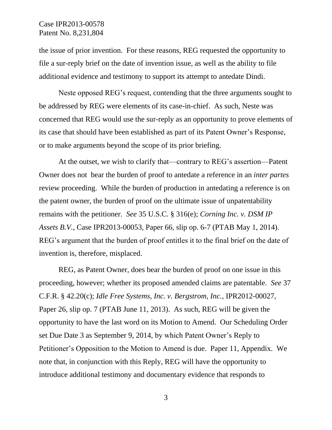the issue of prior invention. For these reasons, REG requested the opportunity to file a sur-reply brief on the date of invention issue, as well as the ability to file additional evidence and testimony to support its attempt to antedate Dindi.

Neste opposed REG's request, contending that the three arguments sought to be addressed by REG were elements of its case-in-chief. As such, Neste was concerned that REG would use the sur-reply as an opportunity to prove elements of its case that should have been established as part of its Patent Owner's Response, or to make arguments beyond the scope of its prior briefing.

At the outset, we wish to clarify that—contrary to REG's assertion—Patent Owner does not bear the burden of proof to antedate a reference in an *inter partes* review proceeding. While the burden of production in antedating a reference is on the patent owner, the burden of proof on the ultimate issue of unpatentability remains with the petitioner. *See* 35 U.S.C. § 316(e); *Corning Inc. v. DSM IP Assets B.V.*, Case IPR2013-00053, Paper 66, slip op. 6-7 (PTAB May 1, 2014). REG's argument that the burden of proof entitles it to the final brief on the date of invention is, therefore, misplaced.

REG, as Patent Owner, does bear the burden of proof on one issue in this proceeding, however; whether its proposed amended claims are patentable. *See* 37 C.F.R. § 42.20(c); *Idle Free Systems, Inc. v. Bergstrom, Inc.*, IPR2012-00027, Paper 26, slip op. 7 (PTAB June 11, 2013). As such, REG will be given the opportunity to have the last word on its Motion to Amend. Our Scheduling Order set Due Date 3 as September 9, 2014, by which Patent Owner's Reply to Petitioner's Opposition to the Motion to Amend is due. Paper 11, Appendix. We note that, in conjunction with this Reply, REG will have the opportunity to introduce additional testimony and documentary evidence that responds to

3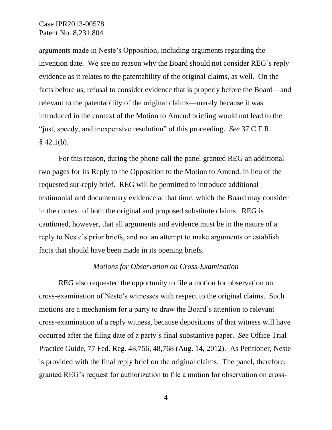arguments made in Neste's Opposition, including arguments regarding the invention date. We see no reason why the Board should not consider REG's reply evidence as it relates to the patentability of the original claims, as well. On the facts before us, refusal to consider evidence that is properly before the Board—and relevant to the patentability of the original claims—merely because it was introduced in the context of the Motion to Amend briefing would not lead to the "just, speedy, and inexpensive resolution" of this proceeding. *See* 37 C.F.R.  $§$  42.1(b).

For this reason, during the phone call the panel granted REG an additional two pages for its Reply to the Opposition to the Motion to Amend, in lieu of the requested sur-reply brief. REG will be permitted to introduce additional testimonial and documentary evidence at that time, which the Board may consider in the context of both the original and proposed substitute claims. REG is cautioned, however, that all arguments and evidence must be in the nature of a reply to Neste's prior briefs, and not an attempt to make arguments or establish facts that should have been made in its opening briefs.

### *Motions for Observation on Cross-Examination*

REG also requested the opportunity to file a motion for observation on cross-examination of Neste's witnesses with respect to the original claims. Such motions are a mechanism for a party to draw the Board's attention to relevant cross-examination of a reply witness, because depositions of that witness will have occurred after the filing date of a party's final substantive paper. *See* Office Trial Practice Guide, 77 Fed. Reg. 48,756, 48,768 (Aug. 14, 2012). As Petitioner, Neste is provided with the final reply brief on the original claims. The panel, therefore, granted REG's request for authorization to file a motion for observation on cross-

4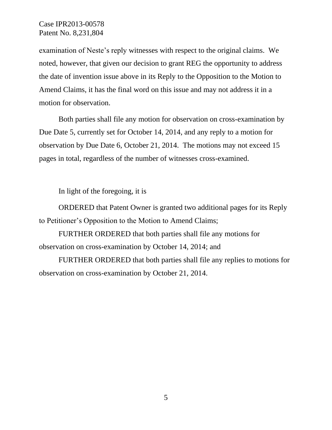examination of Neste's reply witnesses with respect to the original claims. We noted, however, that given our decision to grant REG the opportunity to address the date of invention issue above in its Reply to the Opposition to the Motion to Amend Claims, it has the final word on this issue and may not address it in a motion for observation.

Both parties shall file any motion for observation on cross-examination by Due Date 5, currently set for October 14, 2014, and any reply to a motion for observation by Due Date 6, October 21, 2014. The motions may not exceed 15 pages in total, regardless of the number of witnesses cross-examined.

In light of the foregoing, it is

ORDERED that Patent Owner is granted two additional pages for its Reply to Petitioner's Opposition to the Motion to Amend Claims;

FURTHER ORDERED that both parties shall file any motions for observation on cross-examination by October 14, 2014; and

FURTHER ORDERED that both parties shall file any replies to motions for observation on cross-examination by October 21, 2014.